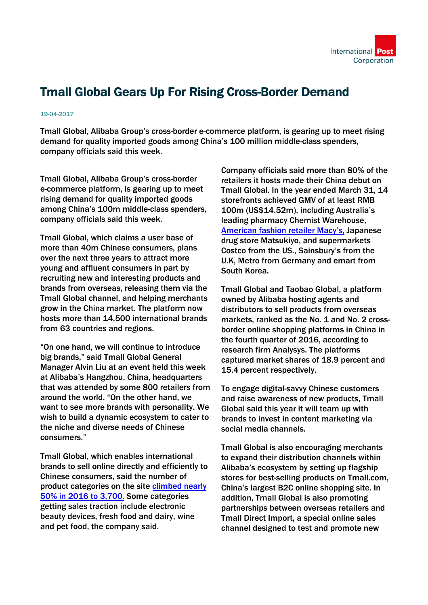

## Tmall Global Gears Up For Rising Cross-Border Demand

## 19-04-2017

Tmall Global, Alibaba Group's cross-border e-commerce platform, is gearing up to meet rising demand for quality imported goods among China's 100 million middle-class spenders, company officials said this week.

Tmall Global, Alibaba Group's cross-border e-commerce platform, is gearing up to meet rising demand for quality imported goods among China's 100m middle-class spenders, company officials said this week.

Tmall Global, which claims a user base of more than 40m Chinese consumers, plans over the next three years to attract more young and affluent consumers in part by recruiting new and interesting products and brands from overseas, releasing them via the Tmall Global channel, and helping merchants grow in the China market. The platform now hosts more than 14,500 international brands from 63 countries and regions.

"On one hand, we will continue to introduce big brands," said Tmall Global General Manager Alvin Liu at an event held this week at Alibaba's Hangzhou, China, headquarters that was attended by some 800 retailers from around the world. "On the other hand, we want to see more brands with personality. We wish to build a dynamic ecosystem to cater to the niche and diverse needs of Chinese consumers."

Tmall Global, which enables international brands to sell online directly and efficiently to Chinese consumers, said the number of product categories on the site [climbed nearly](http://www.alizila.com/cross-border-shopping-surged-on-alibabas-tmall-global-in-2016/) 50% in 2016 to 3,700. Some categories getting sales traction include electronic beauty devices, fresh food and dairy, wine and pet food, the company said.

Company officials said more than 80% of the retailers it hosts made their China debut on Tmall Global. In the year ended March 31, 14 storefronts achieved GMV of at least RMB 100m (US\$14.52m), including Australia's leading pharmacy Chemist Warehouse, [American fashion retailer Macy's, J](http://www.alizila.com/with-live-streaming-u-s-brands-bring-july-4th-holiday-to-china/)apanese drug store Matsukiyo, and supermarkets Costco from the US., Sainsbury's from the U.K, Metro from Germany and emart from South Korea.

Tmall Global and Taobao Global, a platform owned by Alibaba hosting agents and distributors to sell products from overseas markets, ranked as the No. 1 and No. 2 crossborder online shopping platforms in China in the fourth quarter of 2016, according to research firm Analysys. The platforms captured market shares of 18.9 percent and 15.4 percent respectively.

To engage digital-savvy Chinese customers and raise awareness of new products, Tmall Global said this year it will team up with brands to invest in content marketing via social media channels.

Tmall Global is also encouraging merchants to expand their distribution channels within Alibaba's ecosystem by setting up flagship stores for best-selling products on Tmall.com, China's largest B2C online shopping site. In addition, Tmall Global is also promoting partnerships between overseas retailers and Tmall Direct Import, a special online sales channel designed to test and promote new